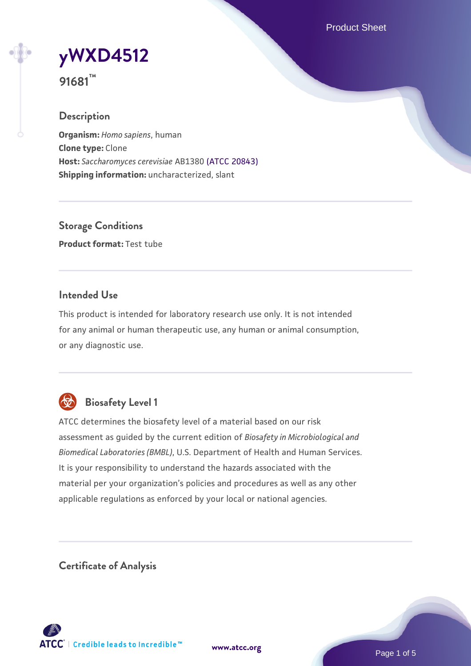Product Sheet



**91681™**

## **Description**

**Organism:** *Homo sapiens*, human **Clone type:** Clone **Host:** *Saccharomyces cerevisiae* AB1380 [\(ATCC 20843\)](https://www.atcc.org/products/20843) **Shipping information:** uncharacterized, slant

**Storage Conditions Product format:** Test tube

#### **Intended Use**

This product is intended for laboratory research use only. It is not intended for any animal or human therapeutic use, any human or animal consumption, or any diagnostic use.



## **Biosafety Level 1**

ATCC determines the biosafety level of a material based on our risk assessment as guided by the current edition of *Biosafety in Microbiological and Biomedical Laboratories (BMBL)*, U.S. Department of Health and Human Services. It is your responsibility to understand the hazards associated with the material per your organization's policies and procedures as well as any other applicable regulations as enforced by your local or national agencies.

**Certificate of Analysis**

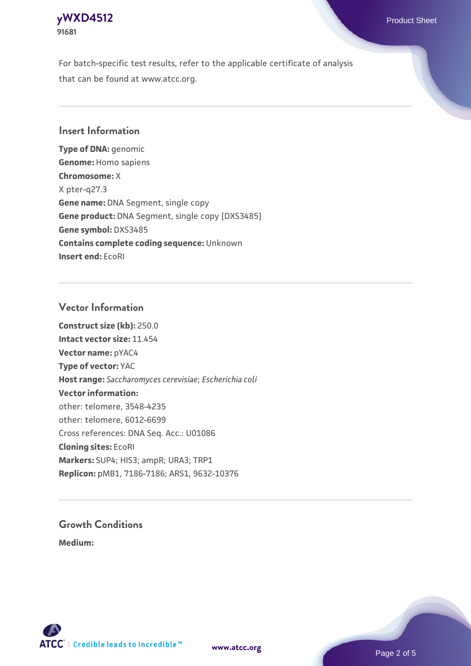#### **[yWXD4512](https://www.atcc.org/products/91681)** Product Sheet **91681**

For batch-specific test results, refer to the applicable certificate of analysis that can be found at www.atcc.org.

#### **Insert Information**

**Type of DNA:** genomic **Genome:** Homo sapiens **Chromosome:** X X pter-q27.3 **Gene name:** DNA Segment, single copy **Gene product:** DNA Segment, single copy [DXS3485] **Gene symbol:** DXS3485 **Contains complete coding sequence:** Unknown **Insert end:** EcoRI

#### **Vector Information**

**Construct size (kb):** 250.0 **Intact vector size:** 11.454 **Vector name:** pYAC4 **Type of vector:** YAC **Host range:** *Saccharomyces cerevisiae*; *Escherichia coli* **Vector information:** other: telomere, 3548-4235 other: telomere, 6012-6699 Cross references: DNA Seq. Acc.: U01086 **Cloning sites:** EcoRI **Markers:** SUP4; HIS3; ampR; URA3; TRP1 **Replicon:** pMB1, 7186-7186; ARS1, 9632-10376

# **Growth Conditions**

**Medium:** 



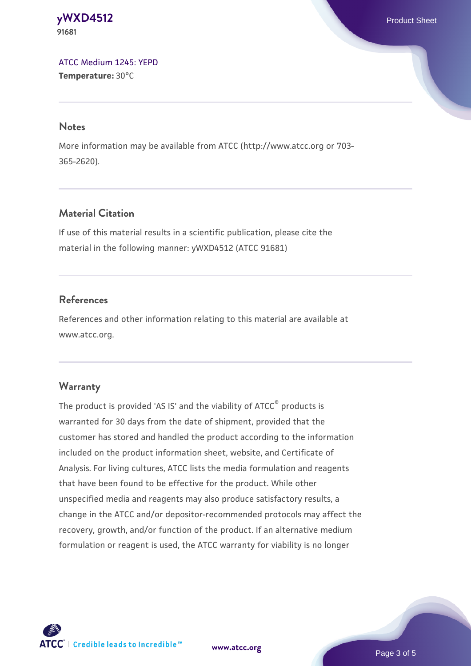**[yWXD4512](https://www.atcc.org/products/91681)** Product Sheet **91681**

[ATCC Medium 1245: YEPD](https://www.atcc.org/-/media/product-assets/documents/microbial-media-formulations/1/2/4/5/atcc-medium-1245.pdf?rev=705ca55d1b6f490a808a965d5c072196) **Temperature:** 30°C

#### **Notes**

More information may be available from ATCC (http://www.atcc.org or 703- 365-2620).

## **Material Citation**

If use of this material results in a scientific publication, please cite the material in the following manner: yWXD4512 (ATCC 91681)

#### **References**

References and other information relating to this material are available at www.atcc.org.

#### **Warranty**

The product is provided 'AS IS' and the viability of ATCC® products is warranted for 30 days from the date of shipment, provided that the customer has stored and handled the product according to the information included on the product information sheet, website, and Certificate of Analysis. For living cultures, ATCC lists the media formulation and reagents that have been found to be effective for the product. While other unspecified media and reagents may also produce satisfactory results, a change in the ATCC and/or depositor-recommended protocols may affect the recovery, growth, and/or function of the product. If an alternative medium formulation or reagent is used, the ATCC warranty for viability is no longer



**[www.atcc.org](http://www.atcc.org)**

Page 3 of 5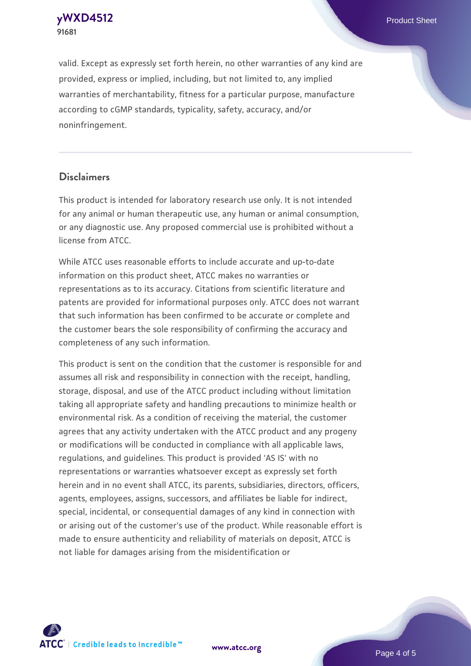**[yWXD4512](https://www.atcc.org/products/91681)** Product Sheet **91681**

valid. Except as expressly set forth herein, no other warranties of any kind are provided, express or implied, including, but not limited to, any implied warranties of merchantability, fitness for a particular purpose, manufacture according to cGMP standards, typicality, safety, accuracy, and/or noninfringement.

#### **Disclaimers**

This product is intended for laboratory research use only. It is not intended for any animal or human therapeutic use, any human or animal consumption, or any diagnostic use. Any proposed commercial use is prohibited without a license from ATCC.

While ATCC uses reasonable efforts to include accurate and up-to-date information on this product sheet, ATCC makes no warranties or representations as to its accuracy. Citations from scientific literature and patents are provided for informational purposes only. ATCC does not warrant that such information has been confirmed to be accurate or complete and the customer bears the sole responsibility of confirming the accuracy and completeness of any such information.

This product is sent on the condition that the customer is responsible for and assumes all risk and responsibility in connection with the receipt, handling, storage, disposal, and use of the ATCC product including without limitation taking all appropriate safety and handling precautions to minimize health or environmental risk. As a condition of receiving the material, the customer agrees that any activity undertaken with the ATCC product and any progeny or modifications will be conducted in compliance with all applicable laws, regulations, and guidelines. This product is provided 'AS IS' with no representations or warranties whatsoever except as expressly set forth herein and in no event shall ATCC, its parents, subsidiaries, directors, officers, agents, employees, assigns, successors, and affiliates be liable for indirect, special, incidental, or consequential damages of any kind in connection with or arising out of the customer's use of the product. While reasonable effort is made to ensure authenticity and reliability of materials on deposit, ATCC is not liable for damages arising from the misidentification or



**[www.atcc.org](http://www.atcc.org)**

Page 4 of 5